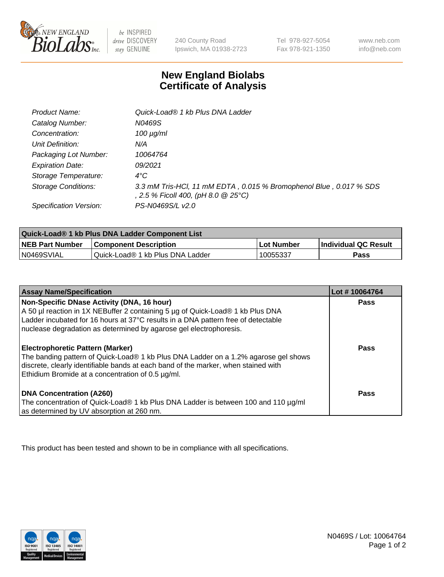

 $be$  INSPIRED drive DISCOVERY stay GENUINE

240 County Road Ipswich, MA 01938-2723 Tel 978-927-5054 Fax 978-921-1350 www.neb.com info@neb.com

## **New England Biolabs Certificate of Analysis**

| Product Name:              | Quick-Load® 1 kb Plus DNA Ladder                                                                          |
|----------------------------|-----------------------------------------------------------------------------------------------------------|
| Catalog Number:            | N0469S                                                                                                    |
| Concentration:             | $100 \mu g/ml$                                                                                            |
| Unit Definition:           | N/A                                                                                                       |
| Packaging Lot Number:      | 10064764                                                                                                  |
| <b>Expiration Date:</b>    | 09/2021                                                                                                   |
| Storage Temperature:       | $4^{\circ}$ C                                                                                             |
| <b>Storage Conditions:</b> | 3.3 mM Tris-HCl, 11 mM EDTA, 0.015 % Bromophenol Blue, 0.017 % SDS<br>, 2.5 % Ficoll 400, (pH 8.0 @ 25°C) |
| Specification Version:     | PS-N0469S/L v2.0                                                                                          |

| Quick-Load® 1 kb Plus DNA Ladder Component List |                                  |            |                             |  |
|-------------------------------------------------|----------------------------------|------------|-----------------------------|--|
| <b>NEB Part Number</b>                          | <b>Component Description</b>     | Lot Number | <b>Individual QC Result</b> |  |
| N0469SVIAL                                      | Quick-Load® 1 kb Plus DNA Ladder | 10055337   | Pass                        |  |

| <b>Assay Name/Specification</b>                                                                                                                                                                                                                                                         | Lot #10064764 |
|-----------------------------------------------------------------------------------------------------------------------------------------------------------------------------------------------------------------------------------------------------------------------------------------|---------------|
| Non-Specific DNase Activity (DNA, 16 hour)<br>A 50 µl reaction in 1X NEBuffer 2 containing 5 µg of Quick-Load® 1 kb Plus DNA<br>Ladder incubated for 16 hours at 37°C results in a DNA pattern free of detectable<br>nuclease degradation as determined by agarose gel electrophoresis. | Pass          |
| Electrophoretic Pattern (Marker)<br>The banding pattern of Quick-Load® 1 kb Plus DNA Ladder on a 1.2% agarose gel shows<br>discrete, clearly identifiable bands at each band of the marker, when stained with<br>Ethidium Bromide at a concentration of 0.5 µg/ml.                      | Pass          |
| <b>DNA Concentration (A260)</b><br>The concentration of Quick-Load® 1 kb Plus DNA Ladder is between 100 and 110 µg/ml<br>as determined by UV absorption at 260 nm.                                                                                                                      | <b>Pass</b>   |

This product has been tested and shown to be in compliance with all specifications.